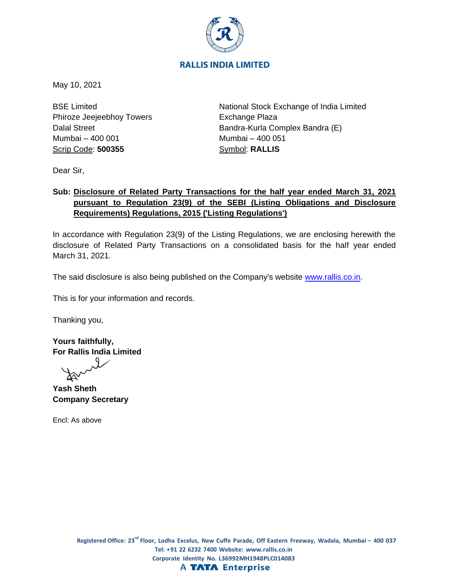

May 10, 2021

BSE Limited Phiroze Jeejeebhoy Towers Dalal Street Mumbai – 400 001 Scrip Code: **500355**

National Stock Exchange of India Limited Exchange Plaza Bandra-Kurla Complex Bandra (E) Mumbai – 400 051 Symbol: **RALLIS**

Dear Sir,

## **Sub: Disclosure of Related Party Transactions for the half year ended March 31, 2021 pursuant to Regulation 23(9) of the SEBI (Listing Obligations and Disclosure Requirements) Regulations, 2015 ('Listing Regulations')**

In accordance with Regulation 23(9) of the Listing Regulations, we are enclosing herewith the disclosure of Related Party Transactions on a consolidated basis for the half year ended March 31, 2021.

The said disclosure is also being published on the Company's website [www.rallis.co.in.](http://www.rallis.co.in/)

This is for your information and records.

Thanking you,

**Yours faithfully, For Rallis India Limited**

**Yash Sheth Company Secretary**

Encl: As above

Registered Office: 23<sup>rd</sup> Floor, Lodha Excelus, New Cuffe Parade, Off Eastern Freeway, Wadala, Mumbai – 400 037 **Tel: +91 22 6232 7400 Website: www.rallis.co.in Corporate Identity No. L36992MH1948PLC014083 A TATA Enterprise**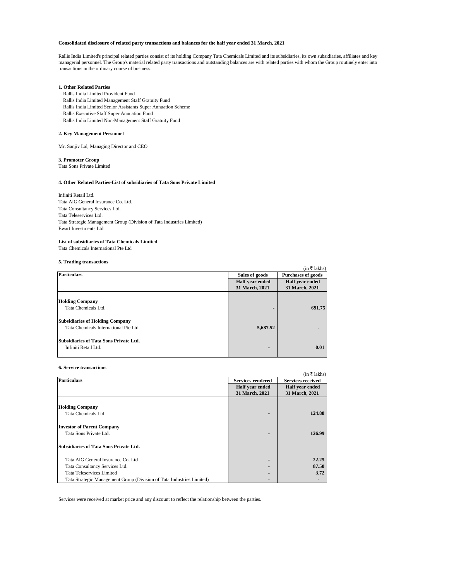## **Consolidated disclosure of related party transactions and balances for the half year ended 31 March, 2021**

#### **1. Other Related Parties**

Rallis India Limited Provident Fund Rallis India Limited Management Staff Gratuity Fund Rallis India Limited Senior Assistants Super Annuation Scheme Rallis Executive Staff Super Annuation Fund Rallis India Limited Non-Management Staff Gratuity Fund

## **2. Key Management Personnel**

Mr. Sanjiv Lal, Managing Director and CEO

### **3. Promoter Group**

Tata Sons Private Limited

Infiniti Retail Ltd. Tata AIG General Insurance Co. Ltd. Tata Consultancy Services Ltd. Tata Teleservices Ltd. Tata Strategic Management Group (Division of Tata Industries Limited) Ewart Investments Ltd

#### **List of subsidiaries of Tata Chemicals Limited**

Tata Chemicals International Pte Ltd

## **5. Trading transactions**

#### **6. Service transactions**

|                                               |                 | (in ₹ lakhs)              |
|-----------------------------------------------|-----------------|---------------------------|
| <b>Particulars</b>                            | Sales of goods  | <b>Purchases of goods</b> |
|                                               | Half year ended | Half year ended           |
|                                               | 31 March, 2021  | 31 March, 2021            |
|                                               |                 |                           |
| <b>Holding Company</b>                        |                 |                           |
| Tata Chemicals Ltd.                           |                 | 691.75                    |
|                                               |                 |                           |
| <b>Subsidiaries of Holding Company</b>        |                 |                           |
| Tata Chemicals International Pte Ltd          | 5,687.52        |                           |
|                                               |                 |                           |
| <b>Subsidiaries of Tata Sons Private Ltd.</b> |                 |                           |
| Infiniti Retail Ltd.                          | ۰.              | 0.01                      |
|                                               |                 |                           |

| <b>Particulars</b>                                                    | <b>Services rendered</b> | <b>Services received</b> |
|-----------------------------------------------------------------------|--------------------------|--------------------------|
|                                                                       | Half year ended          | Half year ended          |
|                                                                       | 31 March, 2021           | 31 March, 2021           |
|                                                                       |                          |                          |
| <b>Holding Company</b>                                                |                          |                          |
| Tata Chemicals Ltd.                                                   | $\blacksquare$           | 124.88                   |
| <b>Investor of Parent Company</b>                                     |                          |                          |
| Tata Sons Private Ltd.                                                |                          | 126.99                   |
| <b>Subsidiaries of Tata Sons Private Ltd.</b>                         |                          |                          |
| Tata AIG General Insurance Co. Ltd                                    | $\blacksquare$           | 22.25                    |
| Tata Consultancy Services Ltd.                                        | $\blacksquare$           | 87.50                    |
| <b>Tata Teleservices Limited</b>                                      |                          | 3.72                     |
| Tata Strategic Management Group (Division of Tata Industries Limited) |                          |                          |

Services were received at market price and any discount to reflect the relationship between the parties.

Rallis India Limited's principal related parties consist of its holding Company Tata Chemicals Limited and its subsidiaries, its own subsidiaries, affiliates and key managerial personnel. The Group's material related party transactions and outstanding balances are with related parties with whom the Group routinely enter into transactions in the ordinary course of business.

### **4. Other Related Parties-List of subsidiaries of Tata Sons Private Limited**